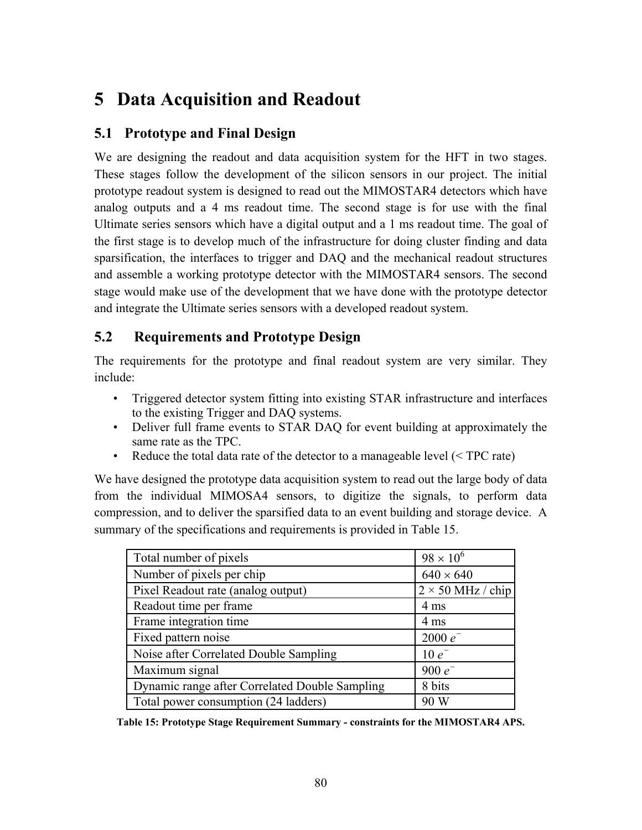# **5 Data Acquisition and Readout**

## **5.1 Prototype and Final Design**

We are designing the readout and data acquisition system for the HFT in two stages. These stages follow the development of the silicon sensors in our project. The initial prototype readout system is designed to read out the MIMOSTAR4 detectors which have analog outputs and a 4 ms readout time. The second stage is for use with the final Ultimate series sensors which have a digital output and a 1 ms readout time. The goal of the first stage is to develop much of the infrastructure for doing cluster finding and data sparsification, the interfaces to trigger and DAQ and the mechanical readout structures and assemble a working prototype detector with the MIMOSTAR4 sensors. The second stage would make use of the development that we have done with the prototype detector and integrate the Ultimate series sensors with a developed readout system.

# **5.2 Requirements and Prototype Design**

The requirements for the prototype and final readout system are very similar. They include:

- Triggered detector system fitting into existing STAR infrastructure and interfaces to the existing Trigger and DAQ systems.
- Deliver full frame events to STAR DAQ for event building at approximately the same rate as the TPC.
- Reduce the total data rate of the detector to a manageable level (< TPC rate)

We have designed the prototype data acquisition system to read out the large body of data from the individual MIMOSA4 sensors, to digitize the signals, to perform data compression, and to deliver the sparsified data to an event building and storage device. A summary of the specifications and requirements is provided in [Table 15.](#page-0-0)

| Total number of pixels                         | $98 \times 10^{6}$       |
|------------------------------------------------|--------------------------|
| Number of pixels per chip                      | $640 \times 640$         |
| Pixel Readout rate (analog output)             | $2 \times 50$ MHz / chip |
| Readout time per frame                         | 4 ms                     |
| Frame integration time                         | 4 ms                     |
| Fixed pattern noise                            | $2000 e^-$               |
| Noise after Correlated Double Sampling         | $10e^{-}$                |
| Maximum signal                                 | 900 $e^-$                |
| Dynamic range after Correlated Double Sampling | 8 bits                   |
| Total power consumption (24 ladders)           | 90 W                     |

<span id="page-0-0"></span>**Table 15: Prototype Stage Requirement Summary - constraints for the MIMOSTAR4 APS.**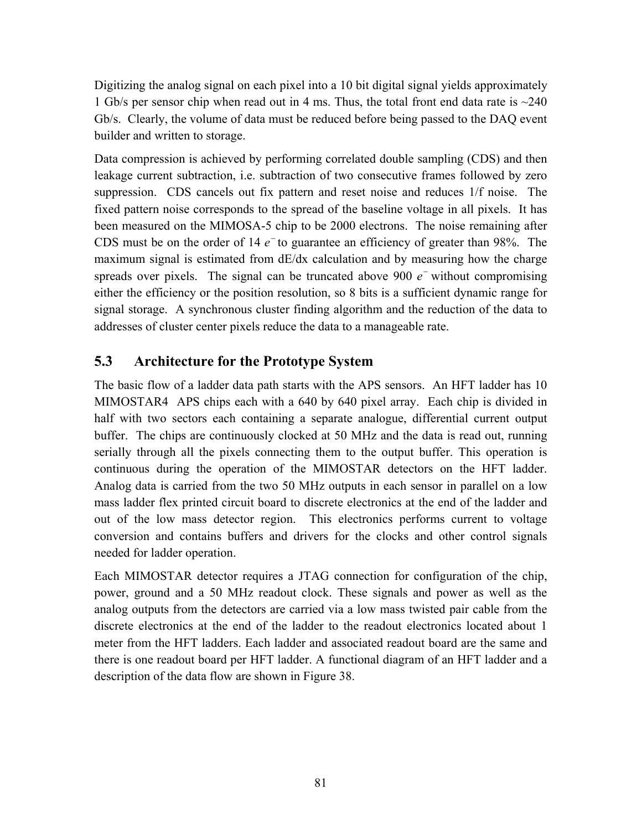Digitizing the analog signal on each pixel into a 10 bit digital signal yields approximately 1 Gb/s per sensor chip when read out in 4 ms. Thus, the total front end data rate is ~240 Gb/s. Clearly, the volume of data must be reduced before being passed to the DAQ event builder and written to storage.

Data compression is achieved by performing correlated double sampling (CDS) and then leakage current subtraction, i.e. subtraction of two consecutive frames followed by zero suppression. CDS cancels out fix pattern and reset noise and reduces 1/f noise. The fixed pattern noise corresponds to the spread of the baseline voltage in all pixels. It has been measured on the MIMOSA-5 chip to be 2000 electrons. The noise remaining after CDS must be on the order of 14  $e^-$  to guarantee an efficiency of greater than 98%. The maximum signal is estimated from dE/dx calculation and by measuring how the charge spreads over pixels. The signal can be truncated above 900  $e^-$  without compromising either the efficiency or the position resolution, so 8 bits is a sufficient dynamic range for signal storage. A synchronous cluster finding algorithm and the reduction of the data to addresses of cluster center pixels reduce the data to a manageable rate.

## **5.3 Architecture for the Prototype System**

The basic flow of a ladder data path starts with the APS sensors. An HFT ladder has 10 MIMOSTAR4 APS chips each with a 640 by 640 pixel array. Each chip is divided in half with two sectors each containing a separate analogue, differential current output buffer. The chips are continuously clocked at 50 MHz and the data is read out, running serially through all the pixels connecting them to the output buffer. This operation is continuous during the operation of the MIMOSTAR detectors on the HFT ladder. Analog data is carried from the two 50 MHz outputs in each sensor in parallel on a low mass ladder flex printed circuit board to discrete electronics at the end of the ladder and out of the low mass detector region. This electronics performs current to voltage conversion and contains buffers and drivers for the clocks and other control signals needed for ladder operation.

Each MIMOSTAR detector requires a JTAG connection for configuration of the chip, power, ground and a 50 MHz readout clock. These signals and power as well as the analog outputs from the detectors are carried via a low mass twisted pair cable from the discrete electronics at the end of the ladder to the readout electronics located about 1 meter from the HFT ladders. Each ladder and associated readout board are the same and there is one readout board per HFT ladder. A functional diagram of an HFT ladder and a description of the data flow are shown in [Figure 38.](#page-2-0)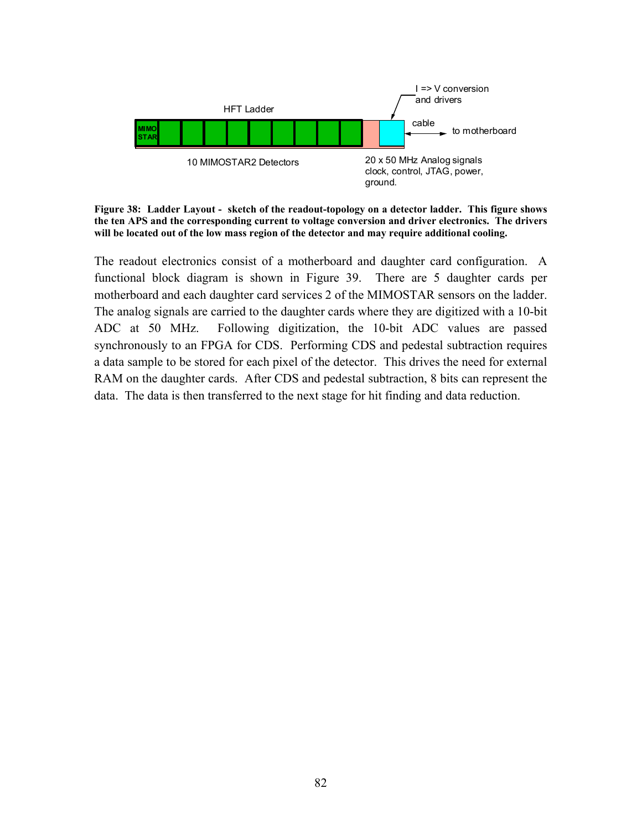<span id="page-2-0"></span>

**Figure 38: Ladder Layout - sketch of the readout-topology on a detector ladder. This figure shows the ten APS and the corresponding current to voltage conversion and driver electronics. The drivers will be located out of the low mass region of the detector and may require additional cooling.** 

The readout electronics consist of a motherboard and daughter card configuration. A functional block diagram is shown in [Figure 39.](#page-3-0) There are 5 daughter cards per motherboard and each daughter card services 2 of the MIMOSTAR sensors on the ladder. The analog signals are carried to the daughter cards where they are digitized with a 10-bit ADC at 50 MHz. Following digitization, the 10-bit ADC values are passed synchronously to an FPGA for CDS. Performing CDS and pedestal subtraction requires a data sample to be stored for each pixel of the detector. This drives the need for external RAM on the daughter cards. After CDS and pedestal subtraction, 8 bits can represent the data. The data is then transferred to the next stage for hit finding and data reduction.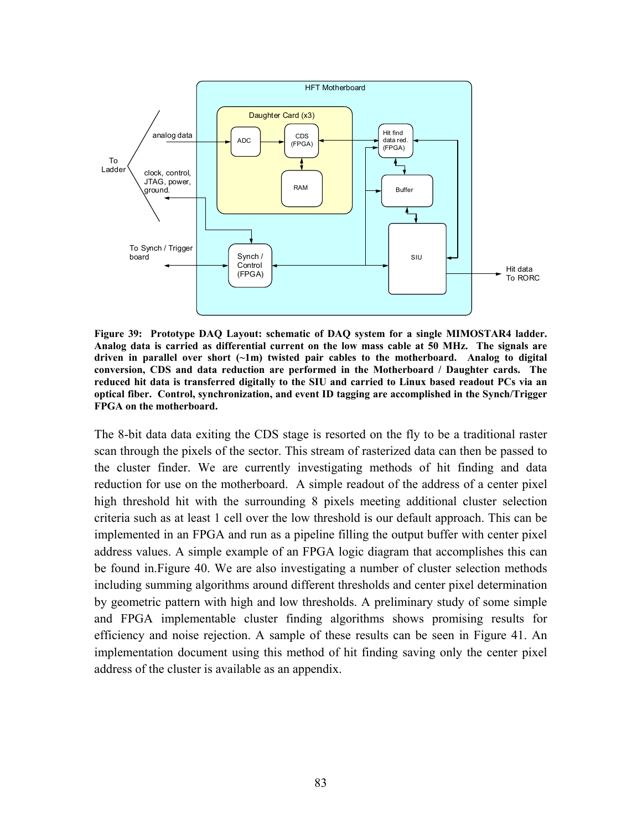<span id="page-3-0"></span>

**Figure 39: Prototype DAQ Layout: schematic of DAQ system for a single MIMOSTAR4 ladder. Analog data is carried as differential current on the low mass cable at 50 MHz. The signals are driven in parallel over short (~1m) twisted pair cables to the motherboard. Analog to digital conversion, CDS and data reduction are performed in the Motherboard / Daughter cards. The reduced hit data is transferred digitally to the SIU and carried to Linux based readout PCs via an optical fiber. Control, synchronization, and event ID tagging are accomplished in the Synch/Trigger FPGA on the motherboard.** 

The 8-bit data data exiting the CDS stage is resorted on the fly to be a traditional raster scan through the pixels of the sector. This stream of rasterized data can then be passed to the cluster finder. We are currently investigating methods of hit finding and data reduction for use on the motherboard. A simple readout of the address of a center pixel high threshold hit with the surrounding 8 pixels meeting additional cluster selection criteria such as at least 1 cell over the low threshold is our default approach. This can be implemented in an FPGA and run as a pipeline filling the output buffer with center pixel address values. A simple example of an FPGA logic diagram that accomplishes this can be found in[.Figure 40.](#page-4-0) We are also investigating a number of cluster selection methods including summing algorithms around different thresholds and center pixel determination by geometric pattern with high and low thresholds. A preliminary study of some simple and FPGA implementable cluster finding algorithms shows promising results for efficiency and noise rejection. A sample of these results can be seen in [Figure 41.](#page-5-0) An implementation document using this method of hit finding saving only the center pixel address of the cluster is available as an appendix.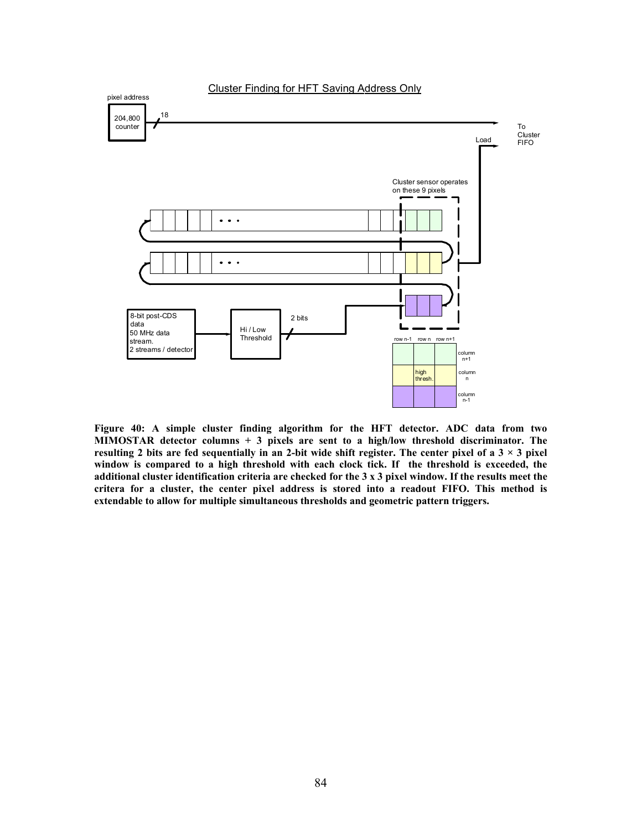<span id="page-4-0"></span>

**Figure 40: A simple cluster finding algorithm for the HFT detector. ADC data from two MIMOSTAR detector columns + 3 pixels are sent to a high/low threshold discriminator. The resulting 2 bits are fed sequentially in an 2-bit wide shift register. The center pixel of a**  $3 \times 3$  **pixel window is compared to a high threshold with each clock tick. If the threshold is exceeded, the additional cluster identification criteria are checked for the 3 x 3 pixel window. If the results meet the critera for a cluster, the center pixel address is stored into a readout FIFO. This method is extendable to allow for multiple simultaneous thresholds and geometric pattern triggers.**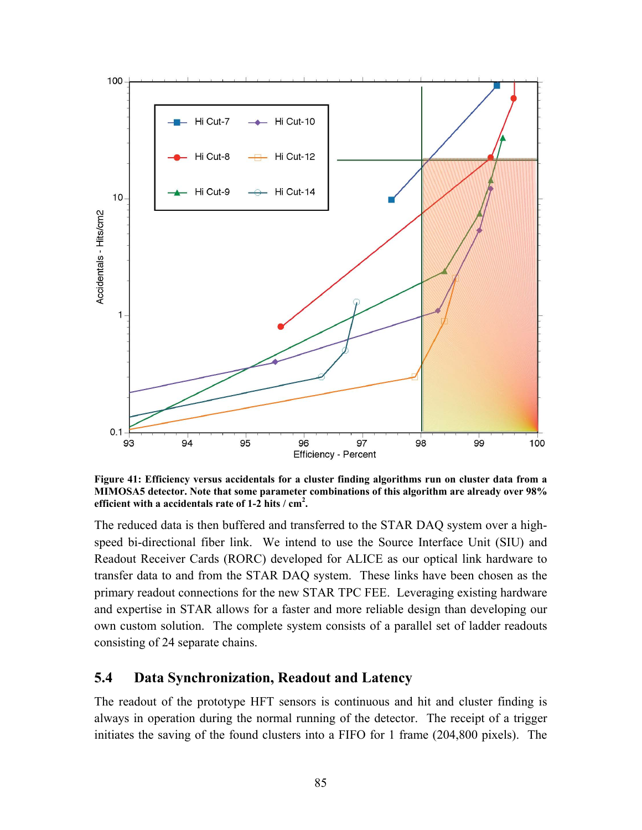<span id="page-5-0"></span>

**Figure 41: Efficiency versus accidentals for a cluster finding algorithms run on cluster data from a MIMOSA5 detector. Note that some parameter combinations of this algorithm are already over 98% efficient with a accidentals rate of 1-2 hits / cm2 .** 

The reduced data is then buffered and transferred to the STAR DAQ system over a highspeed bi-directional fiber link. We intend to use the Source Interface Unit (SIU) and Readout Receiver Cards (RORC) developed for ALICE as our optical link hardware to transfer data to and from the STAR DAQ system. These links have been chosen as the primary readout connections for the new STAR TPC FEE. Leveraging existing hardware and expertise in STAR allows for a faster and more reliable design than developing our own custom solution. The complete system consists of a parallel set of ladder readouts consisting of 24 separate chains.

## **5.4 Data Synchronization, Readout and Latency**

The readout of the prototype HFT sensors is continuous and hit and cluster finding is always in operation during the normal running of the detector. The receipt of a trigger initiates the saving of the found clusters into a FIFO for 1 frame (204,800 pixels). The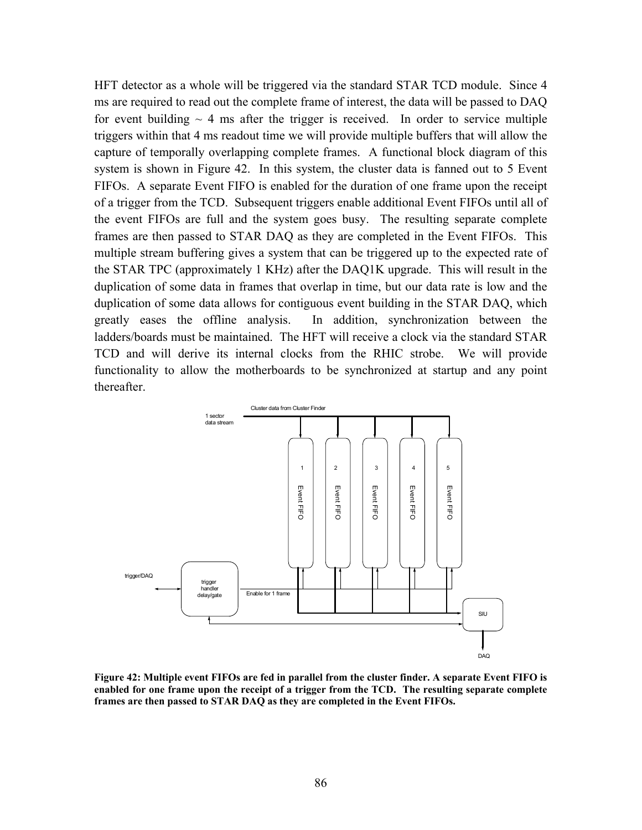HFT detector as a whole will be triggered via the standard STAR TCD module. Since 4 ms are required to read out the complete frame of interest, the data will be passed to DAQ for event building  $\sim$  4 ms after the trigger is received. In order to service multiple triggers within that 4 ms readout time we will provide multiple buffers that will allow the capture of temporally overlapping complete frames. A functional block diagram of this system is shown in [Figure 42.](#page-6-0) In this system, the cluster data is fanned out to 5 Event FIFOs. A separate Event FIFO is enabled for the duration of one frame upon the receipt of a trigger from the TCD. Subsequent triggers enable additional Event FIFOs until all of the event FIFOs are full and the system goes busy. The resulting separate complete frames are then passed to STAR DAQ as they are completed in the Event FIFOs. This multiple stream buffering gives a system that can be triggered up to the expected rate of the STAR TPC (approximately 1 KHz) after the DAQ1K upgrade. This will result in the duplication of some data in frames that overlap in time, but our data rate is low and the duplication of some data allows for contiguous event building in the STAR DAQ, which greatly eases the offline analysis. In addition, synchronization between the ladders/boards must be maintained. The HFT will receive a clock via the standard STAR TCD and will derive its internal clocks from the RHIC strobe. We will provide functionality to allow the motherboards to be synchronized at startup and any point thereafter.

<span id="page-6-0"></span>

**Figure 42: Multiple event FIFOs are fed in parallel from the cluster finder. A separate Event FIFO is enabled for one frame upon the receipt of a trigger from the TCD. The resulting separate complete frames are then passed to STAR DAQ as they are completed in the Event FIFOs.**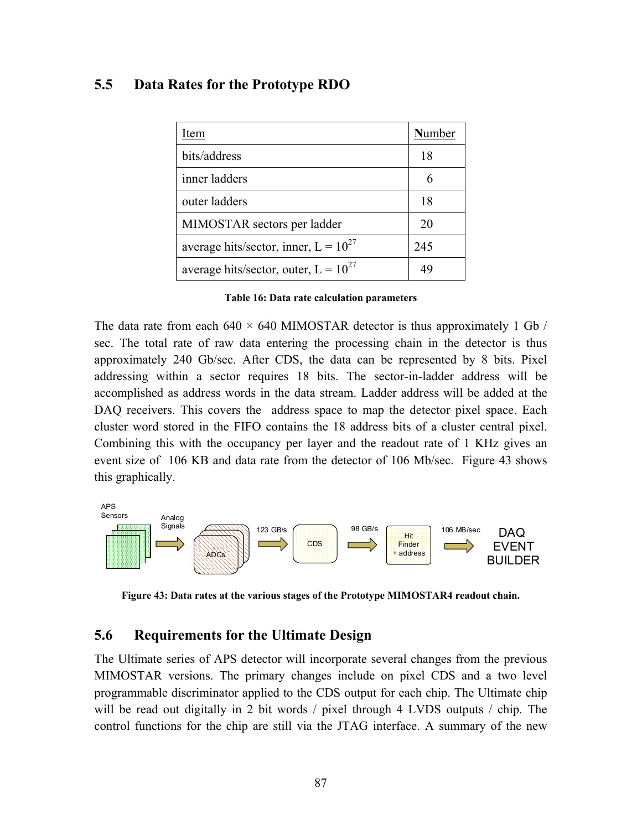#### **5.5 Data Rates for the Prototype RDO**

| Item                                      | Number |
|-------------------------------------------|--------|
| bits/address                              | 18     |
| inner ladders                             |        |
| outer ladders                             | 18     |
| MIMOSTAR sectors per ladder               | 20     |
| average hits/sector, inner, $L = 10^{27}$ | 245    |
| average hits/sector, outer, $L = 10^{27}$ | ΔC     |

| Table 16: Data rate calculation parameters |
|--------------------------------------------|
|--------------------------------------------|

The data rate from each  $640 \times 640$  MIMOSTAR detector is thus approximately 1 Gb / sec. The total rate of raw data entering the processing chain in the detector is thus approximately 240 Gb/sec. After CDS, the data can be represented by 8 bits. Pixel addressing within a sector requires 18 bits. The sector-in-ladder address will be accomplished as address words in the data stream. Ladder address will be added at the DAQ receivers. This covers the address space to map the detector pixel space. Each cluster word stored in the FIFO contains the 18 address bits of a cluster central pixel. Combining this with the occupancy per layer and the readout rate of 1 KHz gives an event size of 106 KB and data rate from the detector of 106 Mb/sec. [Figure 43](#page-7-0) shows this graphically.

<span id="page-7-0"></span>

**Figure 43: Data rates at the various stages of the Prototype MIMOSTAR4 readout chain.** 

#### **5.6 Requirements for the Ultimate Design**

The Ultimate series of APS detector will incorporate several changes from the previous MIMOSTAR versions. The primary changes include on pixel CDS and a two level programmable discriminator applied to the CDS output for each chip. The Ultimate chip will be read out digitally in 2 bit words / pixel through 4 LVDS outputs / chip. The control functions for the chip are still via the JTAG interface. A summary of the new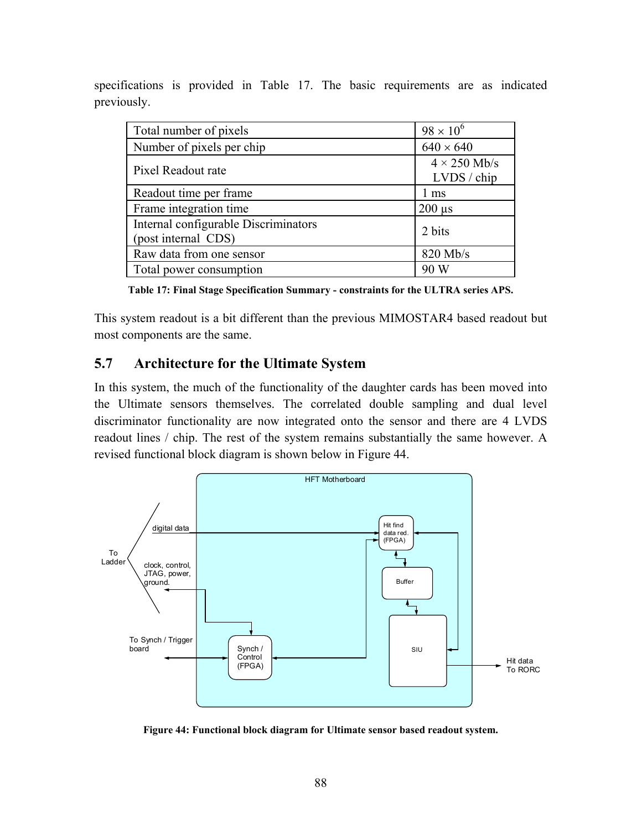specifications is provided in [Table 17.](#page-8-0) The basic requirements are as indicated previously.

| Total number of pixels                                      | $98 \times 10^{6}$                 |
|-------------------------------------------------------------|------------------------------------|
| Number of pixels per chip                                   | $640 \times 640$                   |
| Pixel Readout rate                                          | $4 \times 250$ Mb/s<br>LVDS / chip |
| Readout time per frame                                      | 1 ms                               |
| Frame integration time                                      | $200 \mu s$                        |
| Internal configurable Discriminators<br>(post internal CDS) | 2 bits                             |
| Raw data from one sensor                                    | 820 Mb/s                           |
| Total power consumption                                     |                                    |

<span id="page-8-0"></span>**Table 17: Final Stage Specification Summary - constraints for the ULTRA series APS.**

This system readout is a bit different than the previous MIMOSTAR4 based readout but most components are the same.

## **5.7 Architecture for the Ultimate System**

In this system, the much of the functionality of the daughter cards has been moved into the Ultimate sensors themselves. The correlated double sampling and dual level discriminator functionality are now integrated onto the sensor and there are 4 LVDS readout lines / chip. The rest of the system remains substantially the same however. A revised functional block diagram is shown below in [Figure 44.](#page-8-1)

<span id="page-8-1"></span>

**Figure 44: Functional block diagram for Ultimate sensor based readout system.**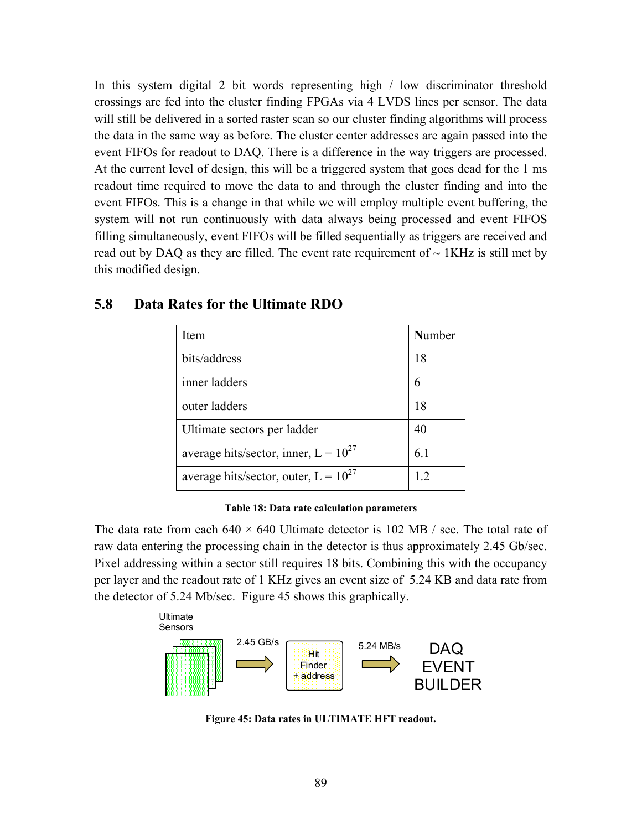In this system digital 2 bit words representing high / low discriminator threshold crossings are fed into the cluster finding FPGAs via 4 LVDS lines per sensor. The data will still be delivered in a sorted raster scan so our cluster finding algorithms will process the data in the same way as before. The cluster center addresses are again passed into the event FIFOs for readout to DAQ. There is a difference in the way triggers are processed. At the current level of design, this will be a triggered system that goes dead for the 1 ms readout time required to move the data to and through the cluster finding and into the event FIFOs. This is a change in that while we will employ multiple event buffering, the system will not run continuously with data always being processed and event FIFOS filling simultaneously, event FIFOs will be filled sequentially as triggers are received and read out by DAQ as they are filled. The event rate requirement of  $\sim 1KHz$  is still met by this modified design.

| Item                                      | Number |
|-------------------------------------------|--------|
| bits/address                              | 18     |
| inner ladders                             |        |
| outer ladders                             | 18     |
| Ultimate sectors per ladder               | 40     |
| average hits/sector, inner, $L = 10^{27}$ | 6.1    |
| average hits/sector, outer, $L = 10^{27}$ | 12     |

#### **5.8 Data Rates for the Ultimate RDO**

**Table 18: Data rate calculation parameters** 

The data rate from each  $640 \times 640$  Ultimate detector is 102 MB / sec. The total rate of raw data entering the processing chain in the detector is thus approximately 2.45 Gb/sec. Pixel addressing within a sector still requires 18 bits. Combining this with the occupancy per layer and the readout rate of 1 KHz gives an event size of 5.24 KB and data rate from the detector of 5.24 Mb/sec. [Figure 45](#page-9-0) shows this graphically.

<span id="page-9-0"></span>

**Figure 45: Data rates in ULTIMATE HFT readout.**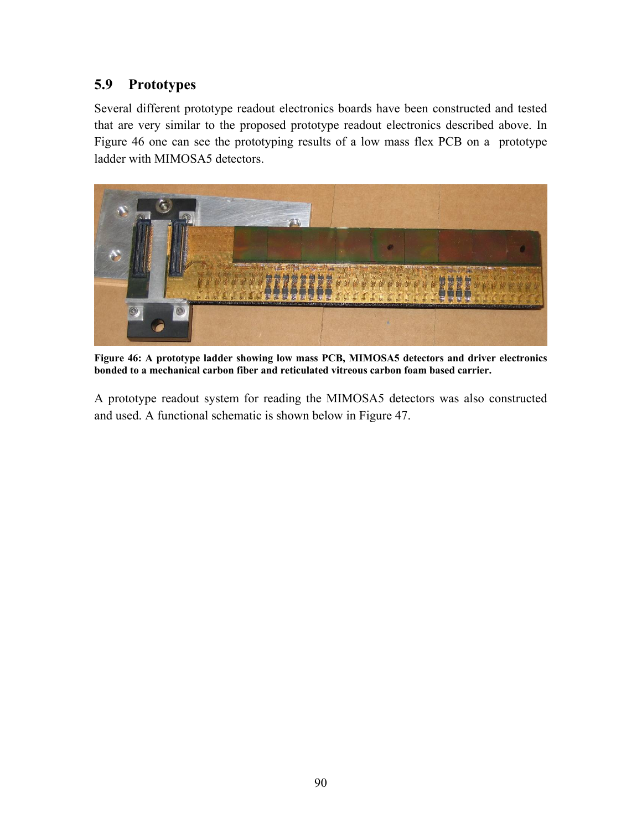# **5.9 Prototypes**

Several different prototype readout electronics boards have been constructed and tested that are very similar to the proposed prototype readout electronics described above. In [Figure 46](#page-10-0) one can see the prototyping results of a low mass flex PCB on a prototype ladder with MIMOSA5 detectors.

<span id="page-10-0"></span>

**Figure 46: A prototype ladder showing low mass PCB, MIMOSA5 detectors and driver electronics bonded to a mechanical carbon fiber and reticulated vitreous carbon foam based carrier.** 

A prototype readout system for reading the MIMOSA5 detectors was also constructed and used. A functional schematic is shown below in [Figure 47.](#page-11-0)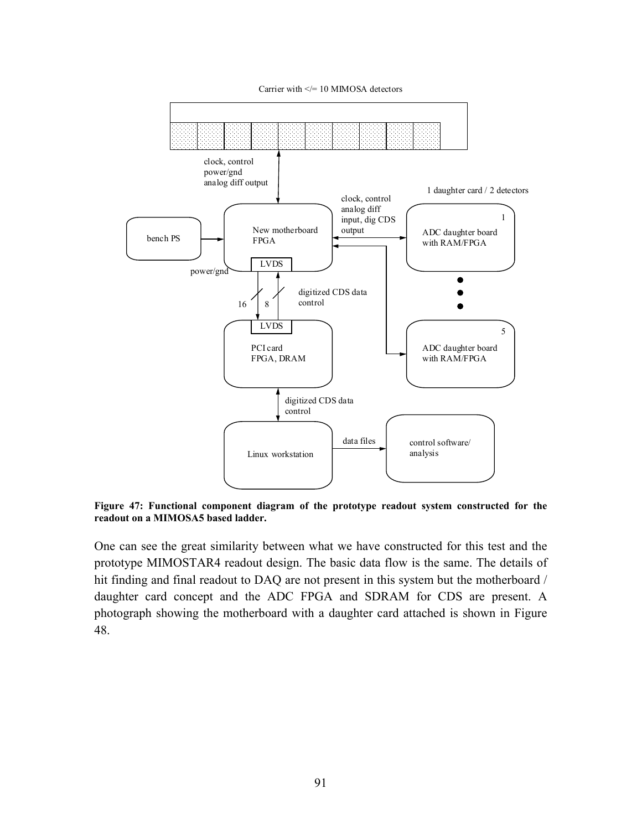Carrier with  $\le$  = 10 MIMOSA detectors

<span id="page-11-0"></span>

**Figure 47: Functional component diagram of the prototype readout system constructed for the readout on a MIMOSA5 based ladder.** 

One can see the great similarity between what we have constructed for this test and the prototype MIMOSTAR4 readout design. The basic data flow is the same. The details of hit finding and final readout to DAQ are not present in this system but the motherboard / daughter card concept and the ADC FPGA and SDRAM for CDS are present. A photograph showing the motherboard with a daughter card attached is shown in [Figure](#page-12-0)  [48.](#page-12-0)